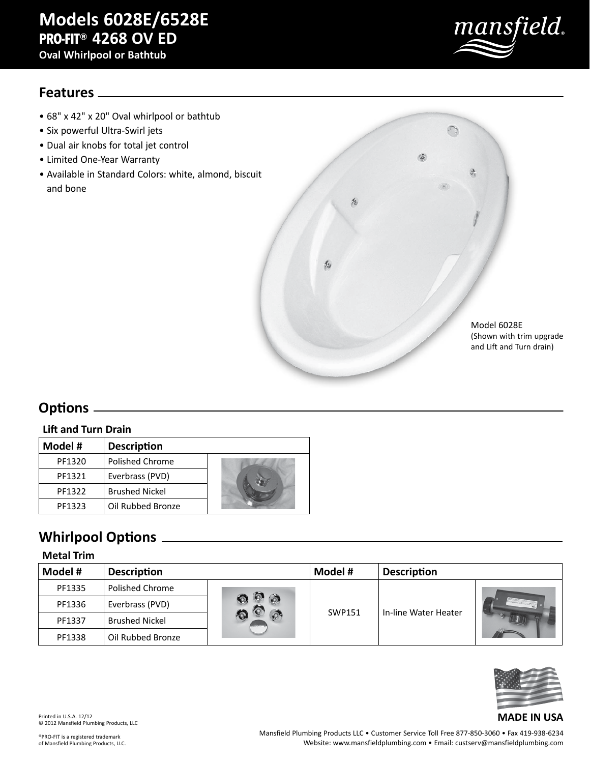# **Models 6028E/6528E PRO-FIT® 4268 OV ED**

**Oval Whirlpool or Bathtub**



### **Features**

- 68" x 42" x 20" Oval whirlpool or bathtub
- Six powerful Ultra-Swirl jets
- Dual air knobs for total jet control
- Limited One-Year Warranty
- Available in Standard Colors: white, almond, biscuit and bone



## **Options**

#### **Lift and Turn Drain**

| Model # | <b>Description</b>    |  |
|---------|-----------------------|--|
| PF1320  | Polished Chrome       |  |
| PF1321  | Everbrass (PVD)       |  |
| PF1322  | <b>Brushed Nickel</b> |  |
| PF1323  | Oil Rubbed Bronze     |  |

## **Whirlpool Options**

#### **Metal Trim**

| Model #<br><b>Description</b> |                        | Model # | <b>Description</b> |                      |  |
|-------------------------------|------------------------|---------|--------------------|----------------------|--|
| PF1335                        | <b>Polished Chrome</b> |         |                    |                      |  |
| PF1336                        | Everbrass (PVD)        |         |                    |                      |  |
| PF1337                        | <b>Brushed Nickel</b>  |         | SWP151             | In-line Water Heater |  |
| PF1338                        | Oil Rubbed Bronze      |         |                    |                      |  |



Printed in U.S.A. 12/12 © 2012 Mansfield Plumbing Products, LLC

Mansfield Plumbing Products LLC • Customer Service Toll Free 877-850-3060 • Fax 419-938-6234 Website: www.mansfieldplumbing.com • Email: custserv@mansfieldplumbing.com